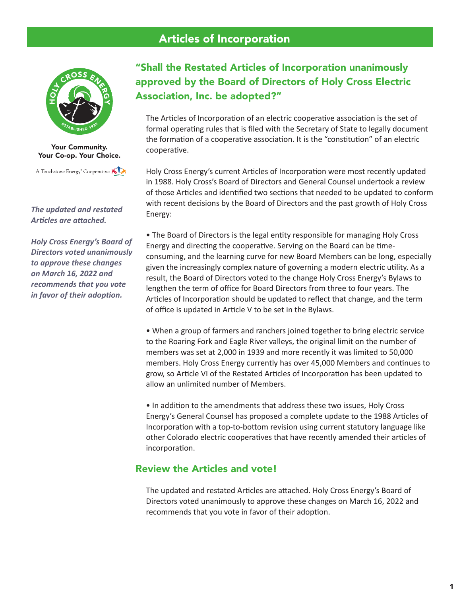# Articles of Incorporation



Your Community. Your Co-op. Your Choice.

A Touchstone Energy<sup>®</sup> Cooperative

*The updated and restated Articles are attached.* 

*Holy Cross Energy's Board of Directors voted unanimously to approve these changes on March 16, 2022 and recommends that you vote in favor of their adoption.* 

# "Shall the Restated Articles of Incorporation unanimously approved by the Board of Directors of Holy Cross Electric Association, Inc. be adopted?"

The Articles of Incorporation of an electric cooperative association is the set of formal operating rules that is filed with the Secretary of State to legally document the formation of a cooperative association. It is the "constitution" of an electric cooperative.

Holy Cross Energy's current Articles of Incorporation were most recently updated in 1988. Holy Cross's Board of Directors and General Counsel undertook a review of those Articles and identified two sections that needed to be updated to conform with recent decisions by the Board of Directors and the past growth of Holy Cross Energy:

• The Board of Directors is the legal entity responsible for managing Holy Cross Energy and directing the cooperative. Serving on the Board can be timeconsuming, and the learning curve for new Board Members can be long, especially given the increasingly complex nature of governing a modern electric utility. As a result, the Board of Directors voted to the change Holy Cross Energy's Bylaws to lengthen the term of office for Board Directors from three to four years. The Articles of Incorporation should be updated to reflect that change, and the term of office is updated in Article V to be set in the Bylaws.

• When a group of farmers and ranchers joined together to bring electric service to the Roaring Fork and Eagle River valleys, the original limit on the number of members was set at 2,000 in 1939 and more recently it was limited to 50,000 members. Holy Cross Energy currently has over 45,000 Members and continues to grow, so Article VI of the Restated Articles of Incorporation has been updated to allow an unlimited number of Members.

• In addition to the amendments that address these two issues, Holy Cross Energy's General Counsel has proposed a complete update to the 1988 Articles of Incorporation with a top-to-bottom revision using current statutory language like other Colorado electric cooperatives that have recently amended their articles of incorporation.

## Review the Articles and vote!

The updated and restated Articles are attached. Holy Cross Energy's Board of Directors voted unanimously to approve these changes on March 16, 2022 and recommends that you vote in favor of their adoption.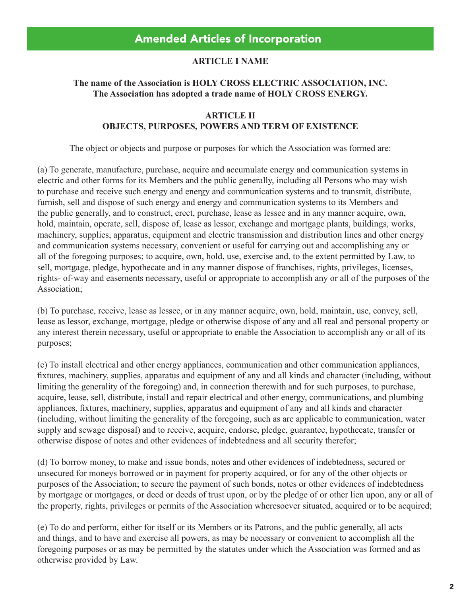#### **ARTICLE I NAME**

### **The name of the Association is HOLY CROSS ELECTRIC ASSOCIATION, INC. The Association has adopted a trade name of HOLY CROSS ENERGY.**

#### **ARTICLE II OBJECTS, PURPOSES, POWERS AND TERM OF EXISTENCE**

The object or objects and purpose or purposes for which the Association was formed are:

(a) To generate, manufacture, purchase, acquire and accumulate energy and communication systems in electric and other forms for its Members and the public generally, including all Persons who may wish to purchase and receive such energy and energy and communication systems and to transmit, distribute, furnish, sell and dispose of such energy and energy and communication systems to its Members and the public generally, and to construct, erect, purchase, lease as lessee and in any manner acquire, own, hold, maintain, operate, sell, dispose of, lease as lessor, exchange and mortgage plants, buildings, works, machinery, supplies, apparatus, equipment and electric transmission and distribution lines and other energy and communication systems necessary, convenient or useful for carrying out and accomplishing any or all of the foregoing purposes; to acquire, own, hold, use, exercise and, to the extent permitted by Law, to sell, mortgage, pledge, hypothecate and in any manner dispose of franchises, rights, privileges, licenses, rights- of-way and easements necessary, useful or appropriate to accomplish any or all of the purposes of the Association;

(b) To purchase, receive, lease as lessee, or in any manner acquire, own, hold, maintain, use, convey, sell, lease as lessor, exchange, mortgage, pledge or otherwise dispose of any and all real and personal property or any interest therein necessary, useful or appropriate to enable the Association to accomplish any or all of its purposes;

(c) To install electrical and other energy appliances, communication and other communication appliances, fixtures, machinery, supplies, apparatus and equipment of any and all kinds and character (including, without limiting the generality of the foregoing) and, in connection therewith and for such purposes, to purchase, acquire, lease, sell, distribute, install and repair electrical and other energy, communications, and plumbing appliances, fixtures, machinery, supplies, apparatus and equipment of any and all kinds and character (including, without limiting the generality of the foregoing, such as are applicable to communication, water supply and sewage disposal) and to receive, acquire, endorse, pledge, guarantee, hypothecate, transfer or otherwise dispose of notes and other evidences of indebtedness and all security therefor;

(d) To borrow money, to make and issue bonds, notes and other evidences of indebtedness, secured or unsecured for moneys borrowed or in payment for property acquired, or for any of the other objects or purposes of the Association; to secure the payment of such bonds, notes or other evidences of indebtedness by mortgage or mortgages, or deed or deeds of trust upon, or by the pledge of or other lien upon, any or all of the property, rights, privileges or permits of the Association wheresoever situated, acquired or to be acquired;

(e) To do and perform, either for itself or its Members or its Patrons, and the public generally, all acts and things, and to have and exercise all powers, as may be necessary or convenient to accomplish all the foregoing purposes or as may be permitted by the statutes under which the Association was formed and as otherwise provided by Law.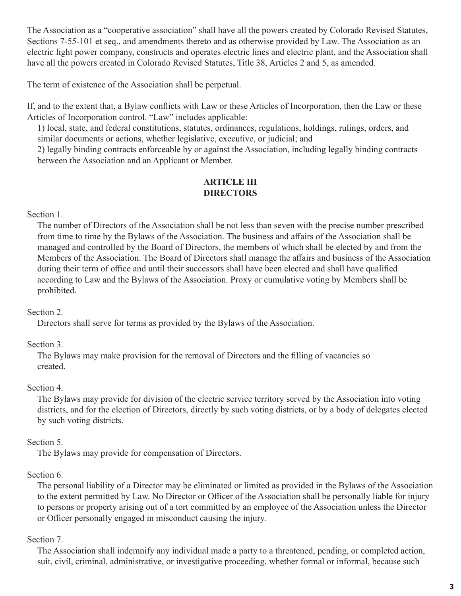The Association as a "cooperative association" shall have all the powers created by Colorado Revised Statutes, Sections 7-55-101 et seq., and amendments thereto and as otherwise provided by Law. The Association as an electric light power company, constructs and operates electric lines and electric plant, and the Association shall have all the powers created in Colorado Revised Statutes, Title 38, Articles 2 and 5, as amended.

The term of existence of the Association shall be perpetual.

If, and to the extent that, a Bylaw conflicts with Law or these Articles of Incorporation, then the Law or these Articles of Incorporation control. "Law" includes applicable:

1) local, state, and federal constitutions, statutes, ordinances, regulations, holdings, rulings, orders, and similar documents or actions, whether legislative, executive, or judicial; and

2) legally binding contracts enforceable by or against the Association, including legally binding contracts between the Association and an Applicant or Member.

### **ARTICLE III DIRECTORS**

### Section 1.

The number of Directors of the Association shall be not less than seven with the precise number prescribed from time to time by the Bylaws of the Association. The business and affairs of the Association shall be managed and controlled by the Board of Directors, the members of which shall be elected by and from the Members of the Association. The Board of Directors shall manage the affairs and business of the Association during their term of office and until their successors shall have been elected and shall have qualified according to Law and the Bylaws of the Association. Proxy or cumulative voting by Members shall be prohibited.

### Section 2.

Directors shall serve for terms as provided by the Bylaws of the Association.

# Section 3.

The Bylaws may make provision for the removal of Directors and the filling of vacancies so created.

### Section 4.

The Bylaws may provide for division of the electric service territory served by the Association into voting districts, and for the election of Directors, directly by such voting districts, or by a body of delegates elected by such voting districts.

# Section 5.

The Bylaws may provide for compensation of Directors.

# Section 6.

The personal liability of a Director may be eliminated or limited as provided in the Bylaws of the Association to the extent permitted by Law. No Director or Officer of the Association shall be personally liable for injury to persons or property arising out of a tort committed by an employee of the Association unless the Director or Officer personally engaged in misconduct causing the injury.

# Section 7.

The Association shall indemnify any individual made a party to a threatened, pending, or completed action, suit, civil, criminal, administrative, or investigative proceeding, whether formal or informal, because such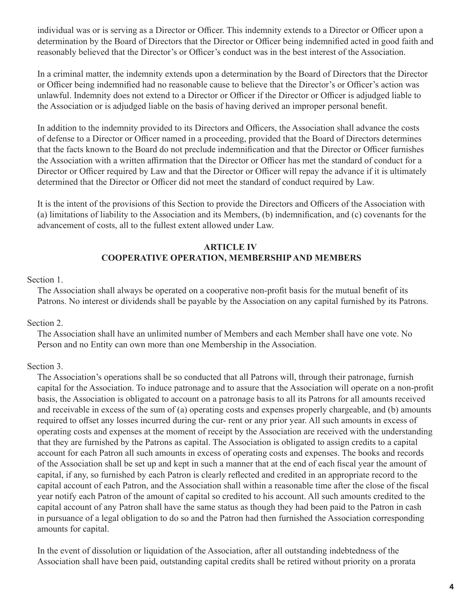individual was or is serving as a Director or Officer. This indemnity extends to a Director or Officer upon a determination by the Board of Directors that the Director or Officer being indemnified acted in good faith and reasonably believed that the Director's or Officer's conduct was in the best interest of the Association.

In a criminal matter, the indemnity extends upon a determination by the Board of Directors that the Director or Officer being indemnified had no reasonable cause to believe that the Director's or Officer's action was unlawful. Indemnity does not extend to a Director or Officer if the Director or Officer is adjudged liable to the Association or is adjudged liable on the basis of having derived an improper personal benefit.

In addition to the indemnity provided to its Directors and Officers, the Association shall advance the costs of defense to a Director or Officer named in a proceeding, provided that the Board of Directors determines that the facts known to the Board do not preclude indemnification and that the Director or Officer furnishes the Association with a written affirmation that the Director or Officer has met the standard of conduct for a Director or Officer required by Law and that the Director or Officer will repay the advance if it is ultimately determined that the Director or Officer did not meet the standard of conduct required by Law.

It is the intent of the provisions of this Section to provide the Directors and Officers of the Association with (a) limitations of liability to the Association and its Members, (b) indemnification, and (c) covenants for the advancement of costs, all to the fullest extent allowed under Law.

### **ARTICLE IV COOPERATIVE OPERATION, MEMBERSHIP AND MEMBERS**

#### Section 1.

The Association shall always be operated on a cooperative non-profit basis for the mutual benefit of its Patrons. No interest or dividends shall be payable by the Association on any capital furnished by its Patrons.

#### Section 2.

The Association shall have an unlimited number of Members and each Member shall have one vote. No Person and no Entity can own more than one Membership in the Association.

### Section 3.

The Association's operations shall be so conducted that all Patrons will, through their patronage, furnish capital for the Association. To induce patronage and to assure that the Association will operate on a non-profit basis, the Association is obligated to account on a patronage basis to all its Patrons for all amounts received and receivable in excess of the sum of (a) operating costs and expenses properly chargeable, and (b) amounts required to offset any losses incurred during the cur- rent or any prior year. All such amounts in excess of operating costs and expenses at the moment of receipt by the Association are received with the understanding that they are furnished by the Patrons as capital. The Association is obligated to assign credits to a capital account for each Patron all such amounts in excess of operating costs and expenses. The books and records of the Association shall be set up and kept in such a manner that at the end of each fiscal year the amount of capital, if any, so furnished by each Patron is clearly reflected and credited in an appropriate record to the capital account of each Patron, and the Association shall within a reasonable time after the close of the fiscal year notify each Patron of the amount of capital so credited to his account. All such amounts credited to the capital account of any Patron shall have the same status as though they had been paid to the Patron in cash in pursuance of a legal obligation to do so and the Patron had then furnished the Association corresponding amounts for capital.

In the event of dissolution or liquidation of the Association, after all outstanding indebtedness of the Association shall have been paid, outstanding capital credits shall be retired without priority on a prorata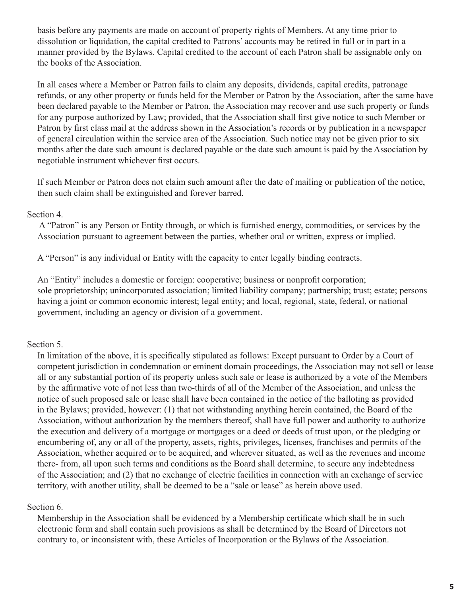basis before any payments are made on account of property rights of Members. At any time prior to dissolution or liquidation, the capital credited to Patrons' accounts may be retired in full or in part in a manner provided by the Bylaws. Capital credited to the account of each Patron shall be assignable only on the books of the Association.

In all cases where a Member or Patron fails to claim any deposits, dividends, capital credits, patronage refunds, or any other property or funds held for the Member or Patron by the Association, after the same have been declared payable to the Member or Patron, the Association may recover and use such property or funds for any purpose authorized by Law; provided, that the Association shall first give notice to such Member or Patron by first class mail at the address shown in the Association's records or by publication in a newspaper of general circulation within the service area of the Association. Such notice may not be given prior to six months after the date such amount is declared payable or the date such amount is paid by the Association by negotiable instrument whichever first occurs.

If such Member or Patron does not claim such amount after the date of mailing or publication of the notice, then such claim shall be extinguished and forever barred.

#### Section 4.

 A "Patron" is any Person or Entity through, or which is furnished energy, commodities, or services by the Association pursuant to agreement between the parties, whether oral or written, express or implied.

A "Person" is any individual or Entity with the capacity to enter legally binding contracts.

An "Entity" includes a domestic or foreign: cooperative; business or nonprofit corporation; sole proprietorship; unincorporated association; limited liability company; partnership; trust; estate; persons having a joint or common economic interest; legal entity; and local, regional, state, federal, or national government, including an agency or division of a government.

Section 5.

In limitation of the above, it is specifically stipulated as follows: Except pursuant to Order by a Court of competent jurisdiction in condemnation or eminent domain proceedings, the Association may not sell or lease all or any substantial portion of its property unless such sale or lease is authorized by a vote of the Members by the affirmative vote of not less than two-thirds of all of the Member of the Association, and unless the notice of such proposed sale or lease shall have been contained in the notice of the balloting as provided in the Bylaws; provided, however: (1) that not withstanding anything herein contained, the Board of the Association, without authorization by the members thereof, shall have full power and authority to authorize the execution and delivery of a mortgage or mortgages or a deed or deeds of trust upon, or the pledging or encumbering of, any or all of the property, assets, rights, privileges, licenses, franchises and permits of the Association, whether acquired or to be acquired, and wherever situated, as well as the revenues and income there- from, all upon such terms and conditions as the Board shall determine, to secure any indebtedness of the Association; and (2) that no exchange of electric facilities in connection with an exchange of service territory, with another utility, shall be deemed to be a "sale or lease" as herein above used.

#### Section 6.

Membership in the Association shall be evidenced by a Membership certificate which shall be in such electronic form and shall contain such provisions as shall be determined by the Board of Directors not contrary to, or inconsistent with, these Articles of Incorporation or the Bylaws of the Association.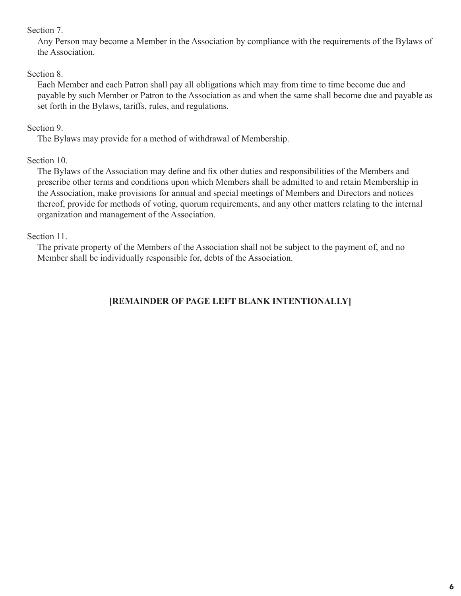#### Section 7.

Any Person may become a Member in the Association by compliance with the requirements of the Bylaws of the Association.

### Section 8.

Each Member and each Patron shall pay all obligations which may from time to time become due and payable by such Member or Patron to the Association as and when the same shall become due and payable as set forth in the Bylaws, tariffs, rules, and regulations.

## Section 9.

The Bylaws may provide for a method of withdrawal of Membership.

# Section 10.

The Bylaws of the Association may define and fix other duties and responsibilities of the Members and prescribe other terms and conditions upon which Members shall be admitted to and retain Membership in the Association, make provisions for annual and special meetings of Members and Directors and notices thereof, provide for methods of voting, quorum requirements, and any other matters relating to the internal organization and management of the Association.

# Section 11.

The private property of the Members of the Association shall not be subject to the payment of, and no Member shall be individually responsible for, debts of the Association.

# **[REMAINDER OF PAGE LEFT BLANK INTENTIONALLY]**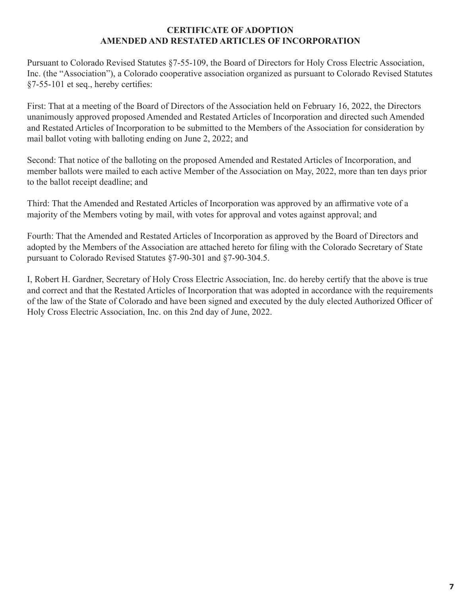#### **CERTIFICATE OF ADOPTION AMENDED AND RESTATED ARTICLES OF INCORPORATION**

Pursuant to Colorado Revised Statutes §7-55-109, the Board of Directors for Holy Cross Electric Association, Inc. (the "Association"), a Colorado cooperative association organized as pursuant to Colorado Revised Statutes §7-55-101 et seq., hereby certifies:

First: That at a meeting of the Board of Directors of the Association held on February 16, 2022, the Directors unanimously approved proposed Amended and Restated Articles of Incorporation and directed such Amended and Restated Articles of Incorporation to be submitted to the Members of the Association for consideration by mail ballot voting with balloting ending on June 2, 2022; and

Second: That notice of the balloting on the proposed Amended and Restated Articles of Incorporation, and member ballots were mailed to each active Member of the Association on May, 2022, more than ten days prior to the ballot receipt deadline; and

Third: That the Amended and Restated Articles of Incorporation was approved by an affirmative vote of a majority of the Members voting by mail, with votes for approval and votes against approval; and

Fourth: That the Amended and Restated Articles of Incorporation as approved by the Board of Directors and adopted by the Members of the Association are attached hereto for filing with the Colorado Secretary of State pursuant to Colorado Revised Statutes §7-90-301 and §7-90-304.5.

I, Robert H. Gardner, Secretary of Holy Cross Electric Association, Inc. do hereby certify that the above is true and correct and that the Restated Articles of Incorporation that was adopted in accordance with the requirements of the law of the State of Colorado and have been signed and executed by the duly elected Authorized Officer of Holy Cross Electric Association, Inc. on this 2nd day of June, 2022.